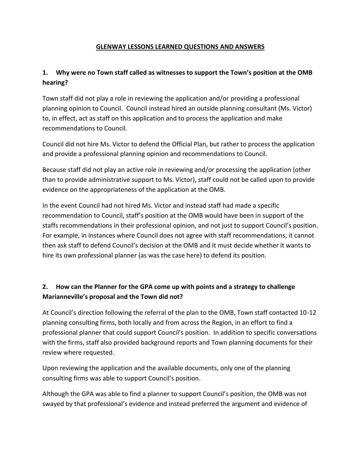#### **GLENWAY LESSONS LEARNED QUESTIONS AND ANSWERS**

## **1. Why were no Town staff called as witnesses to support the Town's position at the OMB hearing?**

Town staff did not play a role in reviewing the application and/or providing a professional planning opinion to Council. Council instead hired an outside planning consultant (Ms. Victor) to, in effect, act as staff on this application and to process the application and make recommendations to Council.

Council did not hire Ms. Victor to defend the Official Plan, but rather to process the application and provide a professional planning opinion and recommendations to Council.

Because staff did not play an active role in reviewing and/or processing the application (other than to provide administrative support to Ms. Victor), staff could not be called upon to provide evidence on the appropriateness of the application at the OMB.

In the event Council had not hired Ms. Victor and instead staff had made a specific recommendation to Council, staff's position at the OMB would have been in support of the staffs recommendations in their professional opinion, and not just to support Council's position. For example, in instances where Council does not agree with staff recommendations, it cannot then ask staff to defend Council's decision at the OMB and it must decide whether it wants to hire its own professional planner (as was the case here) to defend its position.

### **2. How can the Planner for the GPA come up with points and a strategy to challenge Marianneville's proposal and the Town did not?**

At Council's direction following the referral of the plan to the OMB, Town staff contacted 10-12 planning consulting firms, both locally and from across the Region, in an effort to find a professional planner that could support Council's position. In addition to specific conversations with the firms, staff also provided background reports and Town planning documents for their review where requested.

Upon reviewing the application and the available documents, only one of the planning consulting firms was able to support Council's position.

Although the GPA was able to find a planner to support Council's position, the OMB was not swayed by that professional's evidence and instead preferred the argument and evidence of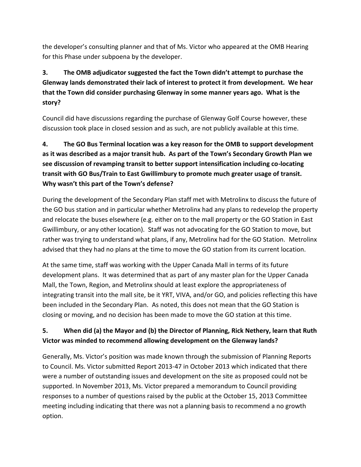the developer's consulting planner and that of Ms. Victor who appeared at the OMB Hearing for this Phase under subpoena by the developer.

# **3. The OMB adjudicator suggested the fact the Town didn't attempt to purchase the Glenway lands demonstrated their lack of interest to protect it from development. We hear that the Town did consider purchasing Glenway in some manner years ago. What is the story?**

Council did have discussions regarding the purchase of Glenway Golf Course however, these discussion took place in closed session and as such, are not publicly available at this time.

# **4. The GO Bus Terminal location was a key reason for the OMB to support development as it was described as a major transit hub. As part of the Town's Secondary Growth Plan we see discussion of revamping transit to better support intensification including co-locating transit with GO Bus/Train to East Gwillimbury to promote much greater usage of transit. Why wasn't this part of the Town's defense?**

During the development of the Secondary Plan staff met with Metrolinx to discuss the future of the GO bus station and in particular whether Metrolinx had any plans to redevelop the property and relocate the buses elsewhere (e.g. either on to the mall property or the GO Station in East Gwillimbury, or any other location). Staff was not advocating for the GO Station to move, but rather was trying to understand what plans, if any, Metrolinx had for the GO Station. Metrolinx advised that they had no plans at the time to move the GO station from its current location.

At the same time, staff was working with the Upper Canada Mall in terms of its future development plans. It was determined that as part of any master plan for the Upper Canada Mall, the Town, Region, and Metrolinx should at least explore the appropriateness of integrating transit into the mall site, be it YRT, VIVA, and/or GO, and policies reflecting this have been included in the Secondary Plan. As noted, this does not mean that the GO Station is closing or moving, and no decision has been made to move the GO station at this time.

## **5. When did (a) the Mayor and (b) the Director of Planning, Rick Nethery, learn that Ruth Victor was minded to recommend allowing development on the Glenway lands?**

Generally, Ms. Victor's position was made known through the submission of Planning Reports to Council. Ms. Victor submitted Report 2013-47 in October 2013 which indicated that there were a number of outstanding issues and development on the site as proposed could not be supported. In November 2013, Ms. Victor prepared a memorandum to Council providing responses to a number of questions raised by the public at the October 15, 2013 Committee meeting including indicating that there was not a planning basis to recommend a no growth option.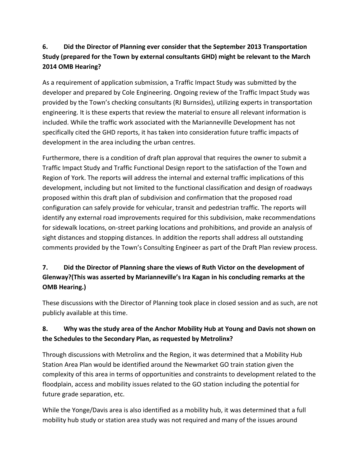## **6. Did the Director of Planning ever consider that the September 2013 Transportation Study (prepared for the Town by external consultants GHD) might be relevant to the March 2014 OMB Hearing?**

As a requirement of application submission, a Traffic Impact Study was submitted by the developer and prepared by Cole Engineering. Ongoing review of the Traffic Impact Study was provided by the Town's checking consultants (RJ Burnsides), utilizing experts in transportation engineering. It is these experts that review the material to ensure all relevant information is included. While the traffic work associated with the Marianneville Development has not specifically cited the GHD reports, it has taken into consideration future traffic impacts of development in the area including the urban centres.

Furthermore, there is a condition of draft plan approval that requires the owner to submit a Traffic Impact Study and Traffic Functional Design report to the satisfaction of the Town and Region of York. The reports will address the internal and external traffic implications of this development, including but not limited to the functional classification and design of roadways proposed within this draft plan of subdivision and confirmation that the proposed road configuration can safely provide for vehicular, transit and pedestrian traffic. The reports will identify any external road improvements required for this subdivision, make recommendations for sidewalk locations, on-street parking locations and prohibitions, and provide an analysis of sight distances and stopping distances. In addition the reports shall address all outstanding comments provided by the Town's Consulting Engineer as part of the Draft Plan review process.

## **7. Did the Director of Planning share the views of Ruth Victor on the development of Glenway?(This was asserted by Marianneville's Ira Kagan in his concluding remarks at the OMB Hearing.)**

These discussions with the Director of Planning took place in closed session and as such, are not publicly available at this time.

## **8. Why was the study area of the Anchor Mobility Hub at Young and Davis not shown on the Schedules to the Secondary Plan, as requested by Metrolinx?**

Through discussions with Metrolinx and the Region, it was determined that a Mobility Hub Station Area Plan would be identified around the Newmarket GO train station given the complexity of this area in terms of opportunities and constraints to development related to the floodplain, access and mobility issues related to the GO station including the potential for future grade separation, etc.

While the Yonge/Davis area is also identified as a mobility hub, it was determined that a full mobility hub study or station area study was not required and many of the issues around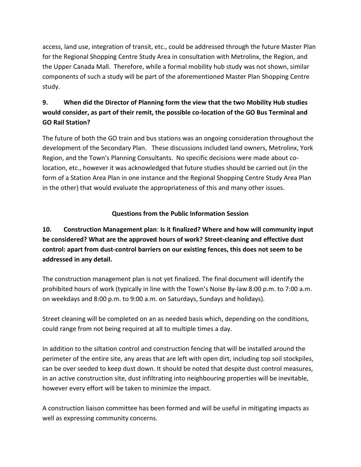access, land use, integration of transit, etc., could be addressed through the future Master Plan for the Regional Shopping Centre Study Area in consultation with Metrolinx, the Region, and the Upper Canada Mall. Therefore, while a formal mobility hub study was not shown, similar components of such a study will be part of the aforementioned Master Plan Shopping Centre study.

## **9. When did the Director of Planning form the view that the two Mobility Hub studies would consider, as part of their remit, the possible co-location of the GO Bus Terminal and GO Rail Station?**

The future of both the GO train and bus stations was an ongoing consideration throughout the development of the Secondary Plan. These discussions included land owners, Metrolinx, York Region, and the Town's Planning Consultants. No specific decisions were made about colocation, etc., however it was acknowledged that future studies should be carried out (in the form of a Station Area Plan in one instance and the Regional Shopping Centre Study Area Plan in the other) that would evaluate the appropriateness of this and many other issues.

## **Questions from the Public Information Session**

**10. Construction Management plan**: **Is it finalized? Where and how will community input be considered? What are the approved hours of work? Street-cleaning and effective dust control: apart from dust-control barriers on our existing fences, this does not seem to be addressed in any detail.** 

The construction management plan is not yet finalized. The final document will identify the prohibited hours of work (typically in line with the Town's Noise By-law 8:00 p.m. to 7:00 a.m. on weekdays and 8:00 p.m. to 9:00 a.m. on Saturdays, Sundays and holidays).

Street cleaning will be completed on an as needed basis which, depending on the conditions, could range from not being required at all to multiple times a day.

In addition to the siltation control and construction fencing that will be installed around the perimeter of the entire site, any areas that are left with open dirt, including top soil stockpiles, can be over seeded to keep dust down. It should be noted that despite dust control measures, in an active construction site, dust infiltrating into neighbouring properties will be inevitable, however every effort will be taken to minimize the impact.

A construction liaison committee has been formed and will be useful in mitigating impacts as well as expressing community concerns.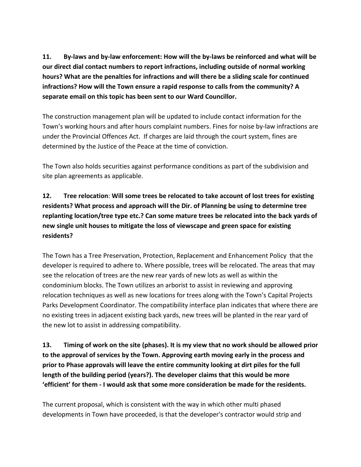**11. By-laws and by-law enforcement: How will the by-laws be reinforced and what will be our direct dial contact numbers to report infractions, including outside of normal working hours? What are the penalties for infractions and will there be a sliding scale for continued infractions? How will the Town ensure a rapid response to calls from the community? A separate email on this topic has been sent to our Ward Councillor.** 

The construction management plan will be updated to include contact information for the Town's working hours and after hours complaint numbers. Fines for noise by-law infractions are under the Provincial Offences Act. If charges are laid through the court system, fines are determined by the Justice of the Peace at the time of conviction.

The Town also holds securities against performance conditions as part of the subdivision and site plan agreements as applicable.

# **12. Tree relocation**: **Will some trees be relocated to take account of lost trees for existing residents? What process and approach will the Dir. of Planning be using to determine tree replanting location/tree type etc.? Can some mature trees be relocated into the back yards of new single unit houses to mitigate the loss of viewscape and green space for existing residents?**

The Town has a Tree Preservation, Protection, Replacement and Enhancement Policy that the developer is required to adhere to. Where possible, trees will be relocated. The areas that may see the relocation of trees are the new rear yards of new lots as well as within the condominium blocks. The Town utilizes an arborist to assist in reviewing and approving relocation techniques as well as new locations for trees along with the Town's Capital Projects Parks Development Coordinator. The compatibility interface plan indicates that where there are no existing trees in adjacent existing back yards, new trees will be planted in the rear yard of the new lot to assist in addressing compatibility.

**13. Timing of work on the site (phases). It is my view that no work should be allowed prior to the approval of services by the Town. Approving earth moving early in the process and prior to Phase approvals will leave the entire community looking at dirt piles for the full length of the building period (years?). The developer claims that this would be more ʻefficient' for them - I would ask that some more consideration be made for the residents.** 

The current proposal, which is consistent with the way in which other multi phased developments in Town have proceeded, is that the developer's contractor would strip and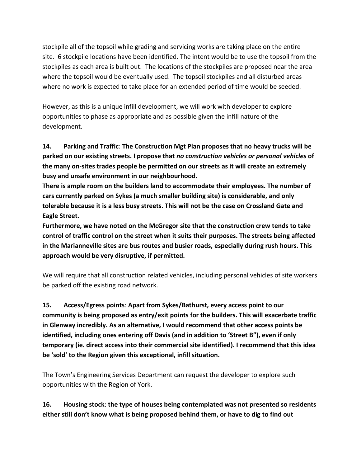stockpile all of the topsoil while grading and servicing works are taking place on the entire site. 6 stockpile locations have been identified. The intent would be to use the topsoil from the stockpiles as each area is built out. The locations of the stockpiles are proposed near the area where the topsoil would be eventually used. The topsoil stockpiles and all disturbed areas where no work is expected to take place for an extended period of time would be seeded.

However, as this is a unique infill development, we will work with developer to explore opportunities to phase as appropriate and as possible given the infill nature of the development.

**14. Parking and Traffic**: **The Construction Mgt Plan proposes that no heavy trucks will be parked on our existing streets. I propose that** *no construction vehicles or personal vehicles* **of the many on-sites trades people be permitted on our streets as it will create an extremely busy and unsafe environment in our neighbourhood.** 

**There is ample room on the builders land to accommodate their employees. The number of cars currently parked on Sykes (a much smaller building site) is considerable, and only tolerable because it is a less busy streets. This will not be the case on Crossland Gate and Eagle Street.** 

**Furthermore, we have noted on the McGregor site that the construction crew tends to take control of traffic control on the street when it suits their purposes. The streets being affected in the Marianneville sites are bus routes and busier roads, especially during rush hours. This approach would be very disruptive, if permitted.** 

We will require that all construction related vehicles, including personal vehicles of site workers be parked off the existing road network.

**15. Access/Egress points**: **Apart from Sykes/Bathurst, every access point to our community is being proposed as entry/exit points for the builders. This will exacerbate traffic in Glenway incredibly. As an alternative, I would recommend that other access points be identified, including ones entering off Davis (and in addition to ʻStreet B"), even if only temporary (ie. direct access into their commercial site identified). I recommend that this idea be ʻsold' to the Region given this exceptional, infill situation.** 

The Town's Engineering Services Department can request the developer to explore such opportunities with the Region of York.

**16. Housing stock**: **the type of houses being contemplated was not presented so residents either still don't know what is being proposed behind them, or have to dig to find out**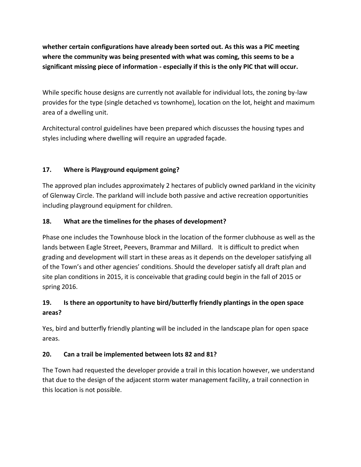**whether certain configurations have already been sorted out. As this was a PIC meeting where the community was being presented with what was coming, this seems to be a significant missing piece of information - especially if this is the only PIC that will occur.** 

While specific house designs are currently not available for individual lots, the zoning by-law provides for the type (single detached vs townhome), location on the lot, height and maximum area of a dwelling unit.

Architectural control guidelines have been prepared which discusses the housing types and styles including where dwelling will require an upgraded façade.

### **17. Where is Playground equipment going?**

The approved plan includes approximately 2 hectares of publicly owned parkland in the vicinity of Glenway Circle. The parkland will include both passive and active recreation opportunities including playground equipment for children.

#### **18. What are the timelines for the phases of development?**

Phase one includes the Townhouse block in the location of the former clubhouse as well as the lands between Eagle Street, Peevers, Brammar and Millard.It is difficult to predict when grading and development will start in these areas as it depends on the developer satisfying all of the Town's and other agencies' conditions. Should the developer satisfy all draft plan and site plan conditions in 2015, it is conceivable that grading could begin in the fall of 2015 or spring 2016.

### **19. Is there an opportunity to have bird/butterfly friendly plantings in the open space areas?**

Yes, bird and butterfly friendly planting will be included in the landscape plan for open space areas.

#### **20. Can a trail be implemented between lots 82 and 81?**

The Town had requested the developer provide a trail in this location however, we understand that due to the design of the adjacent storm water management facility, a trail connection in this location is not possible.